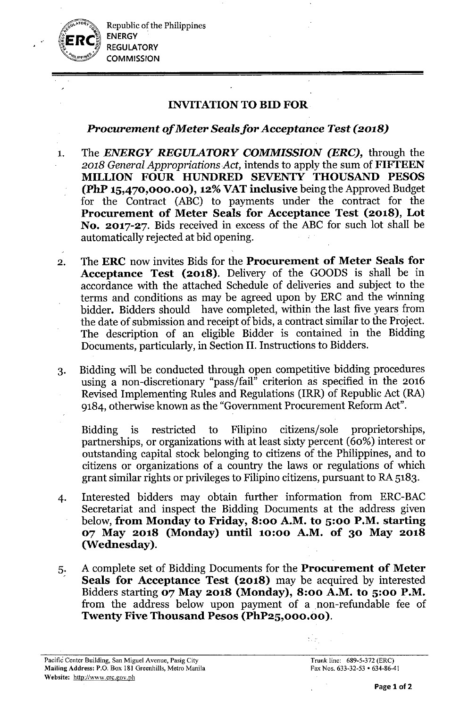Republic of the Philippines ENERGY **REGULATORY COMMISSION** 

# INVITATIONTO BID FOR

# Procurement *of* Meter *Sealsfor Acceptance Test (2018)*

- 1. The *ENERGY REGULATORY COMMISSION (ERC),* through the *2018 General Appropriations Act,* intends to apply the sum of FIFTEEN MILLION FOUR HUNDRED SEVENTY THOUSAND PESOS  $(PhP 15,470,000.00)$ , 12% VAT inclusive being the Approved Budget for the Contract (ABC) to payments under the contract for the Procurement of Meter Seals for Acceptance Test (2018), Lot No. 2017-27. Bids received in excess of the ABC for such lot shall be automatically rejected at bid opening.
- 2. The ERC now invites Bids for the Procurement of Meter Seals for Acceptance Test (2018). Delivery of the GOODS is shall be in accordance with the attached Schedule of deliveries and subject to the terms and conditions as may be agreed upon by ERC and the winning bidder. Bidders should have completed, within the last five years from the date of submission and receipt of bids, a contract similar to the Project. The description of an eligible Bidder is contained in the Bidding Documents, particularly, in Section II. Instructions to Bidders.
- 3. Bidding will be conducted through open competitive bidding procedures using a non-discretionary "pass/fail" criterion as specified in the 2016 Revised Implementing Rules and Regulations (IRR) of Republic Act (RA) 9184, otherwise known as the "Government Procurement Reform Act".

Bidding is restricted to Filipino citizens/sole proprietorships, partnerships, or organizations with at least sixty percent (60%) interest or outstanding capital stock belonging to citizens of the Philippines, and to citizens or organizations of a country the laws or regulations of which grant similar rights or privileges to Filipino citizens, pursuant to RA 5183.

- 4. Interested bidders may obtain further information from ERC-BAC Secretariat and inspect the Bidding Documents at the address given below, from Monday to Friday, 8:00 A.M. to 5:00 P.M. starting 07 May 2018 (Monday) until 10:00 A.M. of 30 May 2018 (Wednesday).
- 5. A complete set of Bidding Documents for the Procurement of Meter Seals for Acceptance Test (2018) may be acquired by interested Bidders starting 07 May 2018 (Monday), 8:00 A.M. to 5:00 P.M. from the address below upon payment of a non-refundable fee of Twenty Five Thousand Pesos (PhP25,000.00).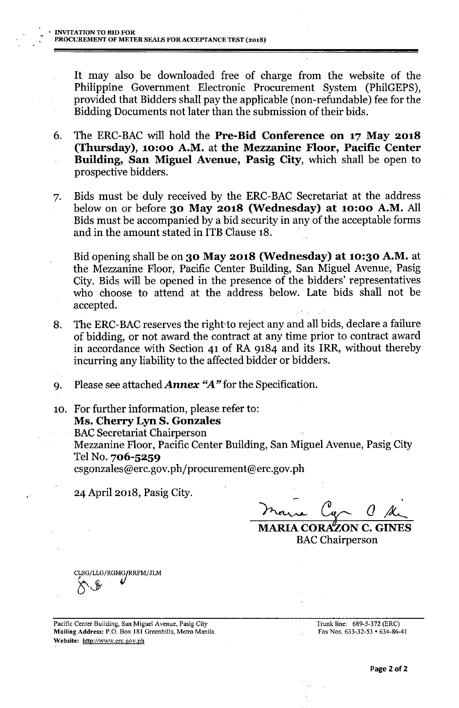It may also be downloaded free of charge from the website of the Philippine Government Electronic Procurement System (PhilGEPS), provided that Bidders shall pay the applicable (non-refundable) fee for the Bidding Documents not later than the submission of their bids.

- 6. The ERC-BAC will hold the Pre-Bid Conference on 17 May 2018 (Thursday), 10:00 A.M. at the Mezzanine Floor, Pacific Center Building, San Miguel Avenue, Pasig City, which shall be open to prospective bidders.
- 7. Bids must be duly received by the ERC-BAC Secretariat at the address below on or before 30 May 2018 (Wednesday) at 10:00 A.M. All Bids must be accompanied by a bid security in any of the acceptable forms and in the amount stated in ITB Clause 18.

Bid opening shall be on 30 May 2018 (Wednesday) at 10:30 A.M. at the Mezzanine Floor, Pacific Center Building, San Miguel Avenue, Pasig City. Bids will be opened in the presence of the bidders' representatives who choose to attend at the address below. Late bids shall not be accepted.

- 8. The ERC-BAC reserves the right to reject any and all bids, declare a failure of bidding, or not award the contract at any time prior to contract award in accordance with Section 41 of RA 9184 and its IRR, without thereby incurring any liability to the affected bidder or bidders.
- 9. Please see attached *Annex "A"* for the Specification.

10. For further information, please refer to: Ms. Cherry Lyn S. Gonzales **BAC Secretariat Chairperson** 

Mezzanine Floor, Pacific Center Building, San Miguel Avenue, Pasig City Tel No. 706-5259

csgonzales@erc.gov.ph/procurement@erc.gov.ph

.' 24 April 2018, Pasig City.

- , **MARIA CORAZON C. GINES** 

**BAC** Chairperson

CLSG/LLG/RGMG**/RRFM/JLM**  $\delta^{\diamond}$ 

Pacific Center Building, San Miguel Avenue, Pasig City Mailing Address: P.O. Box 181 Greenhills, Metro Manila Website: <http://www.erc.gov.ph>

Trunk line: 689-5-372 (ERC) Fax Nos, 633-32-53 • 634-86-41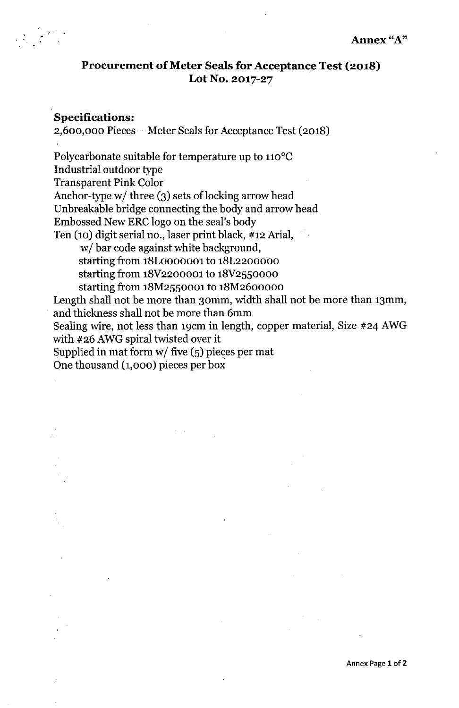### **Procurement** of Meter **Seals for Acceptance Test (2018) Lot No. 2017-27**

### **Specifications:**

, .

2,600,000 Pieces - Meter Seals for Acceptance Test (2018) Polycarbonate suitable for temperature up to 110°C Industrial outdoor type

Transparent Pink Color

Anchor-type *w*/ three (3) sets of locking arrow head

Unbreakable bridge connecting the body and arrow head

Embossed New ERC logo on the seal's body

Ten (10) digit serial no., laser print black, #12 Arial,

*wi* bar code against white background,

starting from 18LoooOOOl to 18L2200000

starting from 18V2200001 to 18V2550000

starting from 18M2550001 to 18M2600000

Length shall not be more than 30mm, width shall not be more than 13mm, and thickness shall not be more than 6mm

Sealing wire, not less than 19cm in length, copper material, Size #24 AWG with #26 AWG spiral twisted over it

Supplied in mat form w/ five (5) piec<mark>es per ma</mark>t

One thousand (1,000) pieces per box